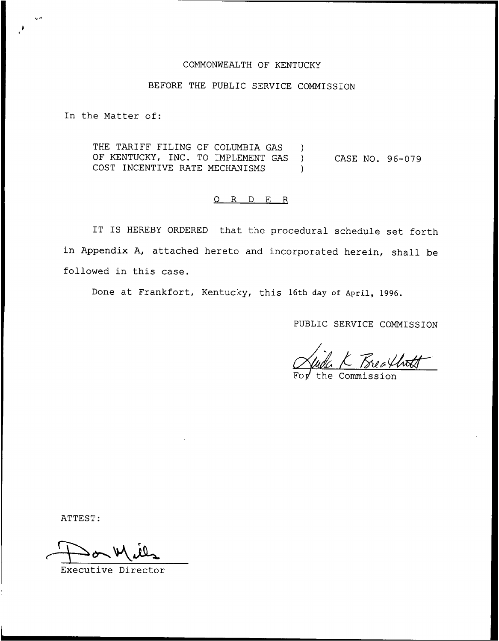## COMMONWEALTH OF KENTUCKY

## BEFORE THE PUBLIC SERVICE COMMISSION

In the Matter of:

THE TARIFF FILING OF COLUMBIA GAS ) OF KENTUCKY, INC. TO IMPLEMENT GAS ) COST INCENTIVE RATE MECHANISMS ) CASE NO. 96-079

## 0 R <sup>D</sup> E R

IT IS HEREBY ORDERED that the procedural schedule set forth in Appendix A, attached hereto and incorporated herein, shall be followed in this case.

Done at Frankfort, Kentucky, this 16th day of April, 1996.

PUBLIC SERVICE COMMISSION

the Commission

ATTEST:

Executive Director